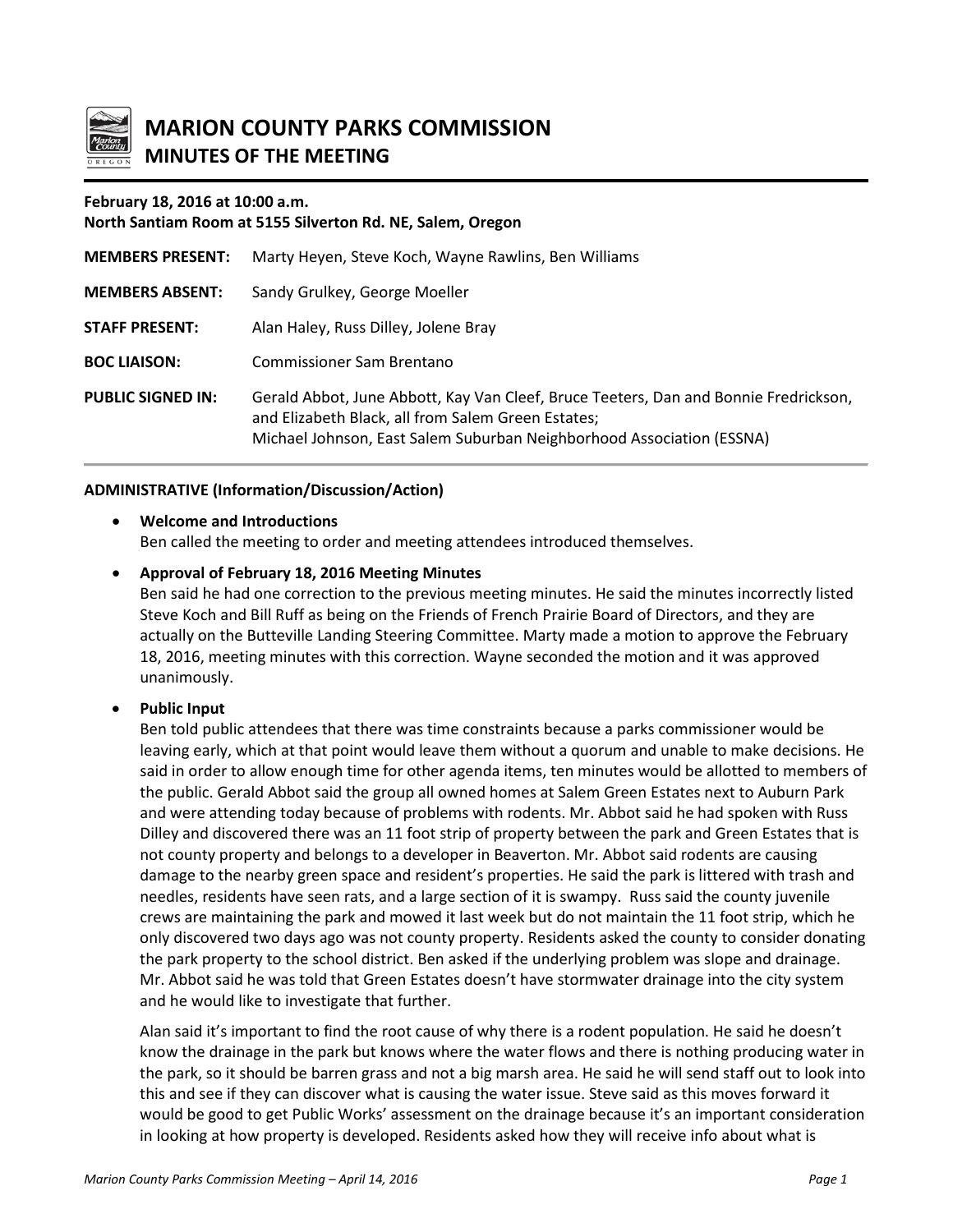

**MARION COUNTY PARKS COMMISSION MINUTES OF THE MEETING**

### **February 18, 2016 at 10:00 a.m.**

**North Santiam Room at 5155 Silverton Rd. NE, Salem, Oregon MEMBERS PRESENT:** Marty Heyen, Steve Koch, Wayne Rawlins, Ben Williams **MEMBERS ABSENT:** Sandy Grulkey, George Moeller **STAFF PRESENT:** Alan Haley, Russ Dilley, Jolene Bray **BOC LIAISON:** Commissioner Sam Brentano **PUBLIC SIGNED IN:** Gerald Abbot, June Abbott, Kay Van Cleef, Bruce Teeters, Dan and Bonnie Fredrickson, and Elizabeth Black, all from Salem Green Estates; Michael Johnson, East Salem Suburban Neighborhood Association (ESSNA)

## **ADMINISTRATIVE (Information/Discussion/Action)**

## • **Welcome and Introductions**

Ben called the meeting to order and meeting attendees introduced themselves.

### • **Approval of February 18, 2016 Meeting Minutes**

Ben said he had one correction to the previous meeting minutes. He said the minutes incorrectly listed Steve Koch and Bill Ruff as being on the Friends of French Prairie Board of Directors, and they are actually on the Butteville Landing Steering Committee. Marty made a motion to approve the February 18, 2016, meeting minutes with this correction. Wayne seconded the motion and it was approved unanimously.

### • **Public Input**

Ben told public attendees that there was time constraints because a parks commissioner would be leaving early, which at that point would leave them without a quorum and unable to make decisions. He said in order to allow enough time for other agenda items, ten minutes would be allotted to members of the public. Gerald Abbot said the group all owned homes at Salem Green Estates next to Auburn Park and were attending today because of problems with rodents. Mr. Abbot said he had spoken with Russ Dilley and discovered there was an 11 foot strip of property between the park and Green Estates that is not county property and belongs to a developer in Beaverton. Mr. Abbot said rodents are causing damage to the nearby green space and resident's properties. He said the park is littered with trash and needles, residents have seen rats, and a large section of it is swampy. Russ said the county juvenile crews are maintaining the park and mowed it last week but do not maintain the 11 foot strip, which he only discovered two days ago was not county property. Residents asked the county to consider donating the park property to the school district. Ben asked if the underlying problem was slope and drainage. Mr. Abbot said he was told that Green Estates doesn't have stormwater drainage into the city system and he would like to investigate that further.

Alan said it's important to find the root cause of why there is a rodent population. He said he doesn't know the drainage in the park but knows where the water flows and there is nothing producing water in the park, so it should be barren grass and not a big marsh area. He said he will send staff out to look into this and see if they can discover what is causing the water issue. Steve said as this moves forward it would be good to get Public Works' assessment on the drainage because it's an important consideration in looking at how property is developed. Residents asked how they will receive info about what is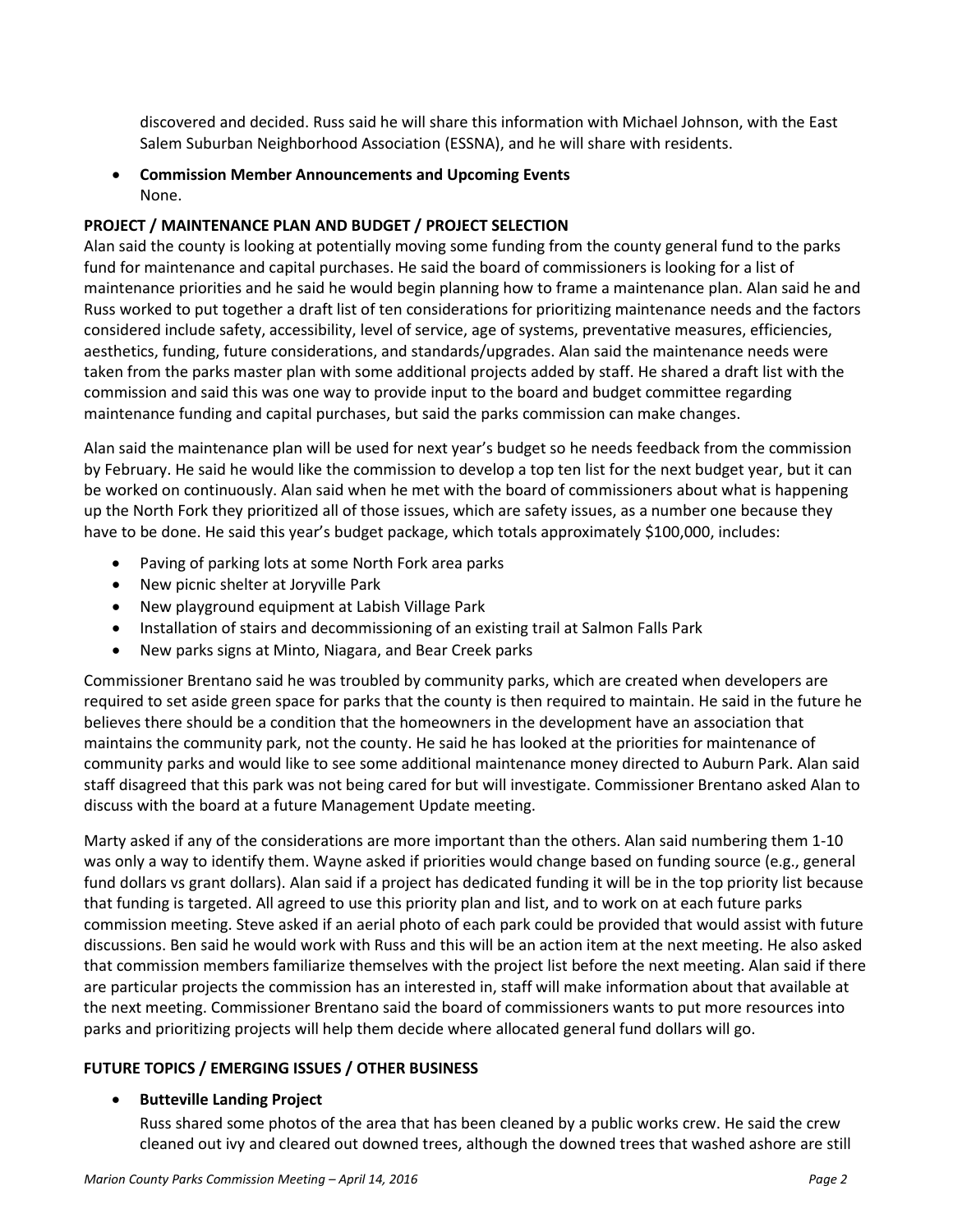discovered and decided. Russ said he will share this information with Michael Johnson, with the East Salem Suburban Neighborhood Association (ESSNA), and he will share with residents.

• **Commission Member Announcements and Upcoming Events** None.

# **PROJECT / MAINTENANCE PLAN AND BUDGET / PROJECT SELECTION**

Alan said the county is looking at potentially moving some funding from the county general fund to the parks fund for maintenance and capital purchases. He said the board of commissioners is looking for a list of maintenance priorities and he said he would begin planning how to frame a maintenance plan. Alan said he and Russ worked to put together a draft list of ten considerations for prioritizing maintenance needs and the factors considered include safety, accessibility, level of service, age of systems, preventative measures, efficiencies, aesthetics, funding, future considerations, and standards/upgrades. Alan said the maintenance needs were taken from the parks master plan with some additional projects added by staff. He shared a draft list with the commission and said this was one way to provide input to the board and budget committee regarding maintenance funding and capital purchases, but said the parks commission can make changes.

Alan said the maintenance plan will be used for next year's budget so he needs feedback from the commission by February. He said he would like the commission to develop a top ten list for the next budget year, but it can be worked on continuously. Alan said when he met with the board of commissioners about what is happening up the North Fork they prioritized all of those issues, which are safety issues, as a number one because they have to be done. He said this year's budget package, which totals approximately \$100,000, includes:

- Paving of parking lots at some North Fork area parks
- New picnic shelter at Joryville Park
- New playground equipment at Labish Village Park
- Installation of stairs and decommissioning of an existing trail at Salmon Falls Park
- New parks signs at Minto, Niagara, and Bear Creek parks

Commissioner Brentano said he was troubled by community parks, which are created when developers are required to set aside green space for parks that the county is then required to maintain. He said in the future he believes there should be a condition that the homeowners in the development have an association that maintains the community park, not the county. He said he has looked at the priorities for maintenance of community parks and would like to see some additional maintenance money directed to Auburn Park. Alan said staff disagreed that this park was not being cared for but will investigate. Commissioner Brentano asked Alan to discuss with the board at a future Management Update meeting.

Marty asked if any of the considerations are more important than the others. Alan said numbering them 1-10 was only a way to identify them. Wayne asked if priorities would change based on funding source (e.g., general fund dollars vs grant dollars). Alan said if a project has dedicated funding it will be in the top priority list because that funding is targeted. All agreed to use this priority plan and list, and to work on at each future parks commission meeting. Steve asked if an aerial photo of each park could be provided that would assist with future discussions. Ben said he would work with Russ and this will be an action item at the next meeting. He also asked that commission members familiarize themselves with the project list before the next meeting. Alan said if there are particular projects the commission has an interested in, staff will make information about that available at the next meeting. Commissioner Brentano said the board of commissioners wants to put more resources into parks and prioritizing projects will help them decide where allocated general fund dollars will go.

# **FUTURE TOPICS / EMERGING ISSUES / OTHER BUSINESS**

### • **Butteville Landing Project**

Russ shared some photos of the area that has been cleaned by a public works crew. He said the crew cleaned out ivy and cleared out downed trees, although the downed trees that washed ashore are still